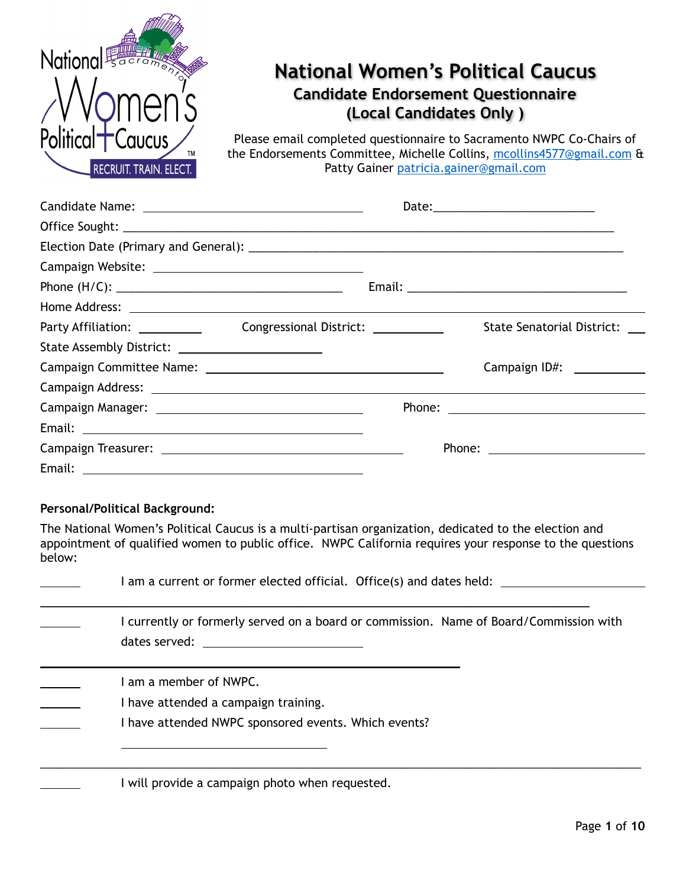

# **National Women's Political Caucus Candidate Endorsement Questionnaire**

**(Local Candidates Only )** 

Please email completed questionnaire to Sacramento NWPC Co-Chairs of the Endorsements Committee, Michelle Collins, [mcollins4577@gmail.com](mailto:mcollins4577@gmail.com) & Patty Gainer [patricia.gainer@gmail.com](mailto:patricia.gainer@gmail.com)

| Home Address: <u>New York: New York: New York: New York: New York: New York: New York: New York: New York: New York: New York: New York: New York: New York: New York: New York: New York: New York: New York: New York: New Yor</u> |  |                            |
|--------------------------------------------------------------------------------------------------------------------------------------------------------------------------------------------------------------------------------------|--|----------------------------|
|                                                                                                                                                                                                                                      |  | State Senatorial District: |
| State Assembly District: __________________________                                                                                                                                                                                  |  |                            |
|                                                                                                                                                                                                                                      |  |                            |
|                                                                                                                                                                                                                                      |  |                            |
|                                                                                                                                                                                                                                      |  |                            |
|                                                                                                                                                                                                                                      |  |                            |
|                                                                                                                                                                                                                                      |  |                            |
|                                                                                                                                                                                                                                      |  |                            |

#### **Personal/Political Background:**

The National Women's Political Caucus is a multi-partisan organization, dedicated to the election and appointment of qualified women to public office. NWPC California requires your response to the questions below:

| I am a current or former elected official. Office(s) and dates held: ___________                                       |
|------------------------------------------------------------------------------------------------------------------------|
| I currently or formerly served on a board or commission. Name of Board/Commission with                                 |
| I am a member of NWPC.<br>I have attended a campaign training.<br>I have attended NWPC sponsored events. Which events? |
| I will provide a campaign photo when requested.                                                                        |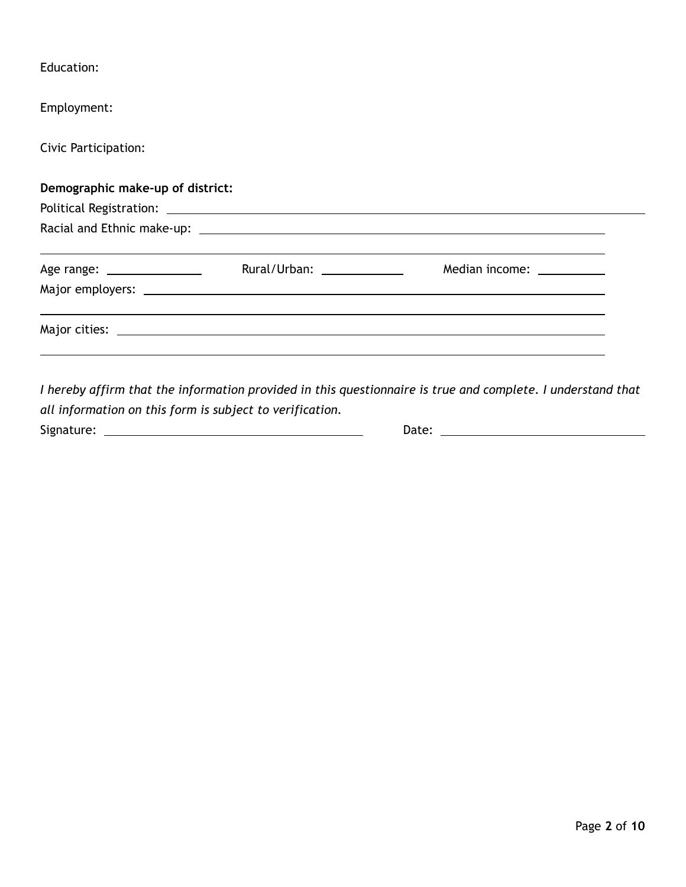| Education:                       |                             |  |
|----------------------------------|-----------------------------|--|
| Employment:                      |                             |  |
| Civic Participation:             |                             |  |
| Demographic make-up of district: |                             |  |
|                                  |                             |  |
|                                  |                             |  |
| Age range: __________________    | Rural/Urban: ______________ |  |
|                                  |                             |  |
|                                  |                             |  |
|                                  |                             |  |

*I hereby affirm that the information provided in this questionnaire is true and complete. I understand that all information on this form is subject to verification.*  Signature: Date: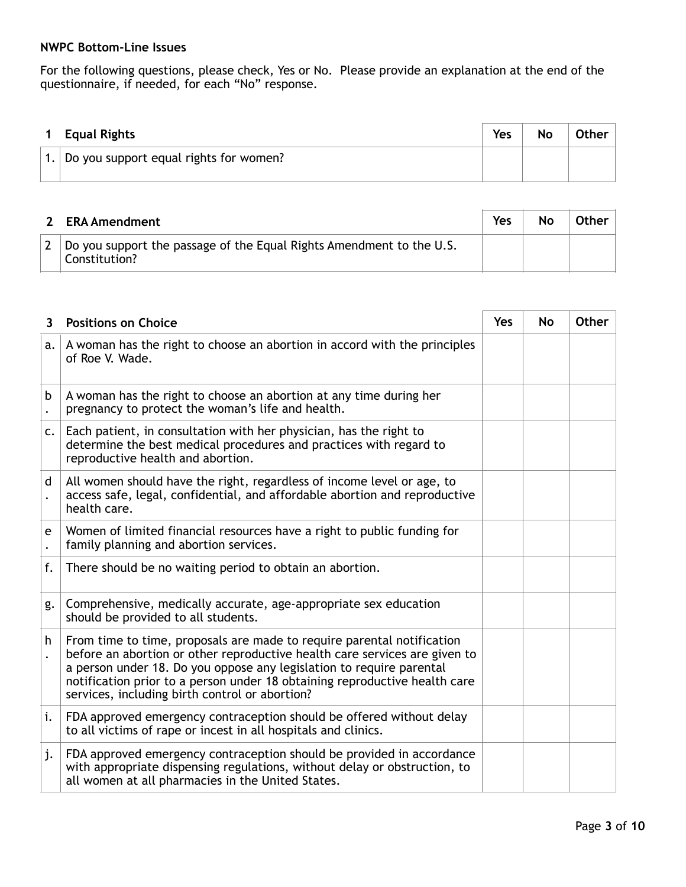#### **NWPC Bottom-Line Issues**

For the following questions, please check, Yes or No. Please provide an explanation at the end of the questionnaire, if needed, for each "No" response.

| <b>Equal Rights</b>                    | Yes | No | <b>Other</b> |
|----------------------------------------|-----|----|--------------|
| Do you support equal rights for women? |     |    |              |

| <b>ERA Amendment</b>                                                                  | Yes | No | Other |
|---------------------------------------------------------------------------------------|-----|----|-------|
| Do you support the passage of the Equal Rights Amendment to the U.S.<br>Constitution? |     |    |       |

| 3. | <b>Positions on Choice</b>                                                                                                                                                                                                                                                                                                                                   | <b>Yes</b> | <b>No</b> | <b>Other</b> |
|----|--------------------------------------------------------------------------------------------------------------------------------------------------------------------------------------------------------------------------------------------------------------------------------------------------------------------------------------------------------------|------------|-----------|--------------|
| a. | A woman has the right to choose an abortion in accord with the principles<br>of Roe V. Wade.                                                                                                                                                                                                                                                                 |            |           |              |
| b  | A woman has the right to choose an abortion at any time during her<br>pregnancy to protect the woman's life and health.                                                                                                                                                                                                                                      |            |           |              |
| c. | Each patient, in consultation with her physician, has the right to<br>determine the best medical procedures and practices with regard to<br>reproductive health and abortion.                                                                                                                                                                                |            |           |              |
| d  | All women should have the right, regardless of income level or age, to<br>access safe, legal, confidential, and affordable abortion and reproductive<br>health care.                                                                                                                                                                                         |            |           |              |
| e  | Women of limited financial resources have a right to public funding for<br>family planning and abortion services.                                                                                                                                                                                                                                            |            |           |              |
| f. | There should be no waiting period to obtain an abortion.                                                                                                                                                                                                                                                                                                     |            |           |              |
| g. | Comprehensive, medically accurate, age-appropriate sex education<br>should be provided to all students.                                                                                                                                                                                                                                                      |            |           |              |
| h  | From time to time, proposals are made to require parental notification<br>before an abortion or other reproductive health care services are given to<br>a person under 18. Do you oppose any legislation to require parental<br>notification prior to a person under 18 obtaining reproductive health care<br>services, including birth control or abortion? |            |           |              |
| i. | FDA approved emergency contraception should be offered without delay<br>to all victims of rape or incest in all hospitals and clinics.                                                                                                                                                                                                                       |            |           |              |
| j. | FDA approved emergency contraception should be provided in accordance<br>with appropriate dispensing regulations, without delay or obstruction, to<br>all women at all pharmacies in the United States.                                                                                                                                                      |            |           |              |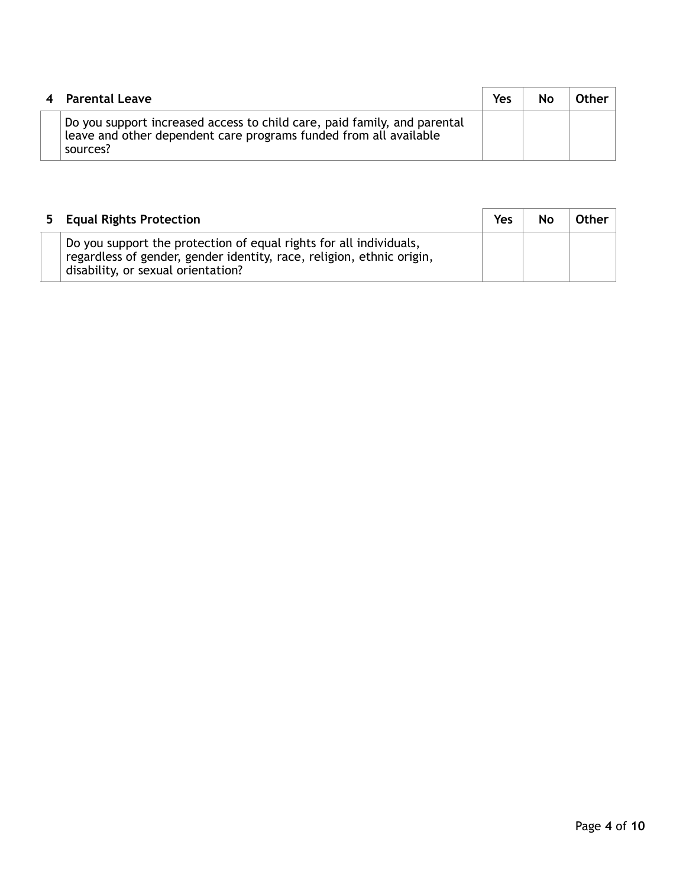| 4 Parental Leave                                                                                                                                          | Yes | No | Other |
|-----------------------------------------------------------------------------------------------------------------------------------------------------------|-----|----|-------|
| Do you support increased access to child care, paid family, and parental<br>leave and other dependent care programs funded from all available<br>sources? |     |    |       |

| 5 Equal Rights Protection                                                                                                                                                         | Yes | <b>No</b> | Other |
|-----------------------------------------------------------------------------------------------------------------------------------------------------------------------------------|-----|-----------|-------|
| Do you support the protection of equal rights for all individuals,<br>regardless of gender, gender identity, race, religion, ethnic origin,<br>disability, or sexual orientation? |     |           |       |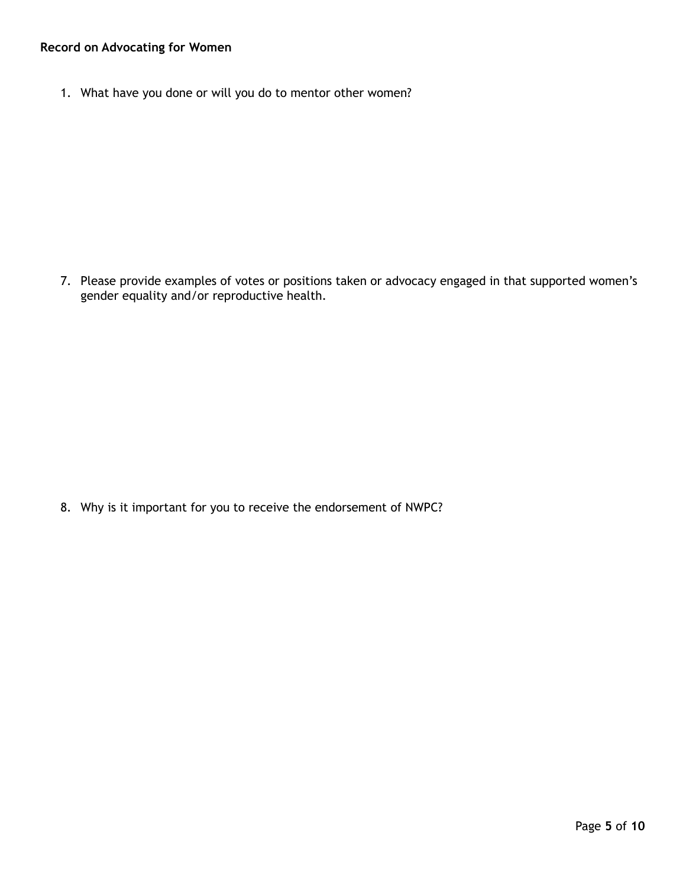### **Record on Advocating for Women**

1. What have you done or will you do to mentor other women?

7. Please provide examples of votes or positions taken or advocacy engaged in that supported women's gender equality and/or reproductive health.

8. Why is it important for you to receive the endorsement of NWPC?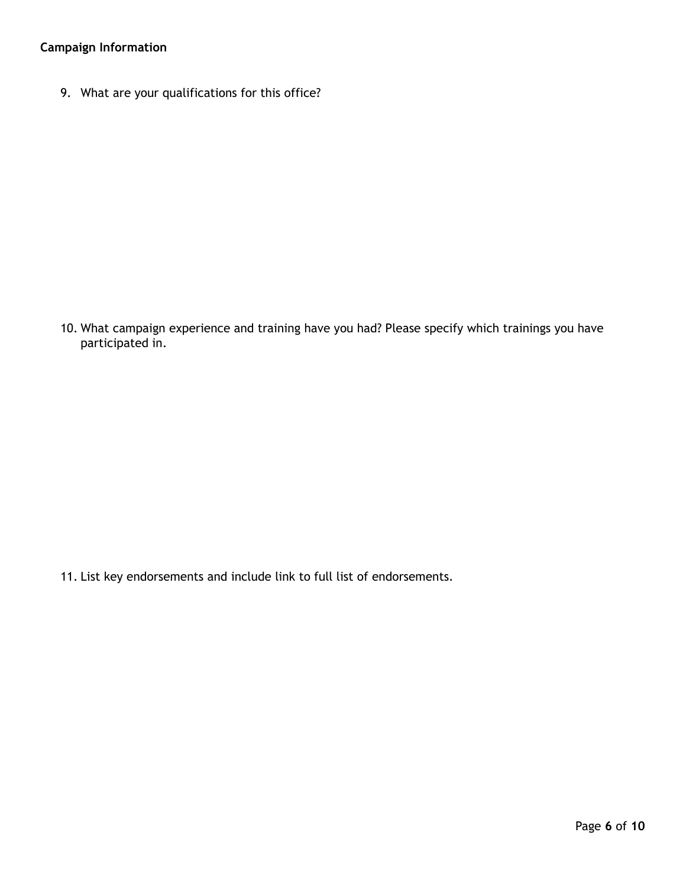## **Campaign Information**

9. What are your qualifications for this office?

10. What campaign experience and training have you had? Please specify which trainings you have participated in.

11. List key endorsements and include link to full list of endorsements.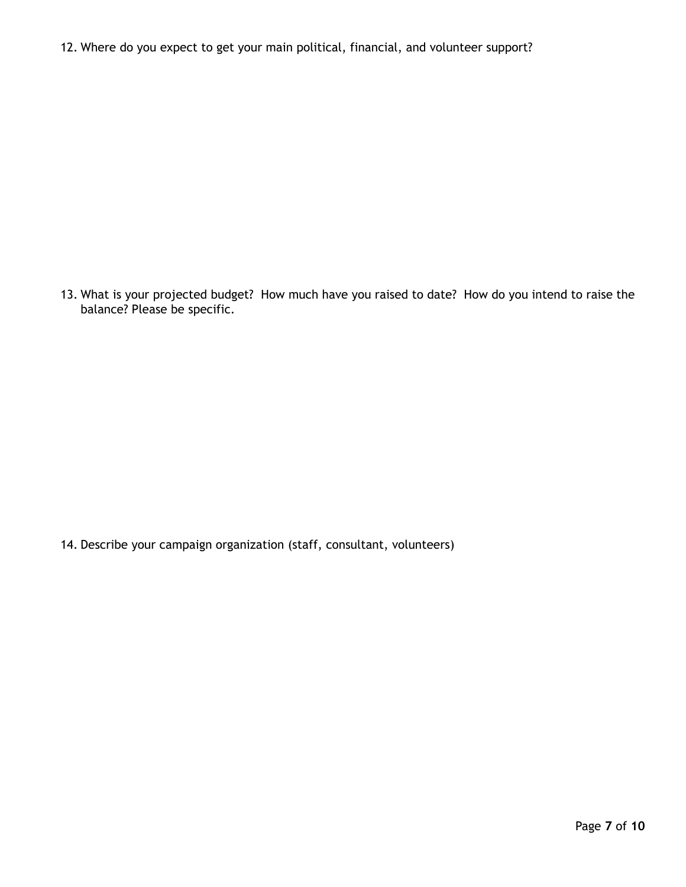12. Where do you expect to get your main political, financial, and volunteer support?

13. What is your projected budget? How much have you raised to date? How do you intend to raise the balance? Please be specific.

14. Describe your campaign organization (staff, consultant, volunteers)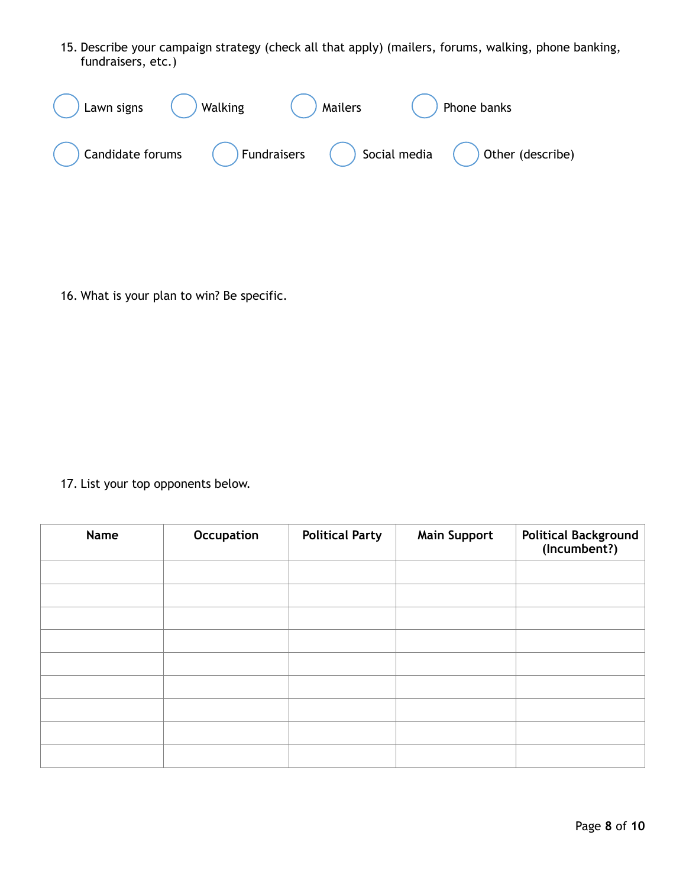15. Describe your campaign strategy (check all that apply) (mailers, forums, walking, phone banking, fundraisers, etc.)

| Lawn signs       | <b>Walking</b> | Mailers                                                         | Phone banks |
|------------------|----------------|-----------------------------------------------------------------|-------------|
| Candidate forums |                | Fundraisers $\bigcirc$ Social media $\bigcirc$ Other (describe) |             |

16. What is your plan to win? Be specific.

17. List your top opponents below.

| Name | Occupation | <b>Political Party</b> | <b>Main Support</b> | Political Background<br>(Incumbent?) |
|------|------------|------------------------|---------------------|--------------------------------------|
|      |            |                        |                     |                                      |
|      |            |                        |                     |                                      |
|      |            |                        |                     |                                      |
|      |            |                        |                     |                                      |
|      |            |                        |                     |                                      |
|      |            |                        |                     |                                      |
|      |            |                        |                     |                                      |
|      |            |                        |                     |                                      |
|      |            |                        |                     |                                      |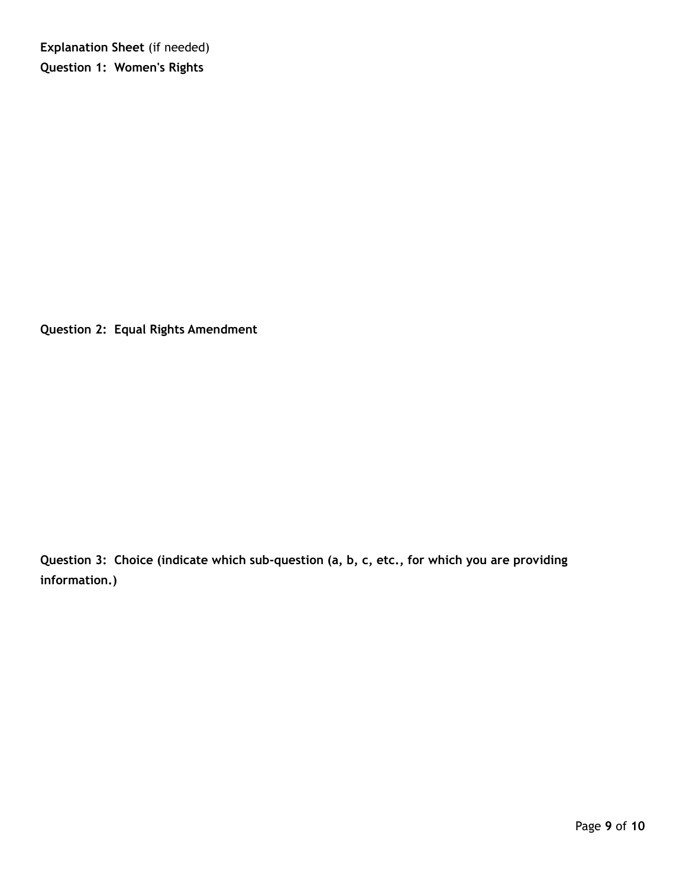**Explanation Sheet** (if needed) **Question 1: Women's Rights** 

**Question 2: Equal Rights Amendment** 

**Question 3: Choice (indicate which sub-question (a, b, c, etc., for which you are providing information.)**